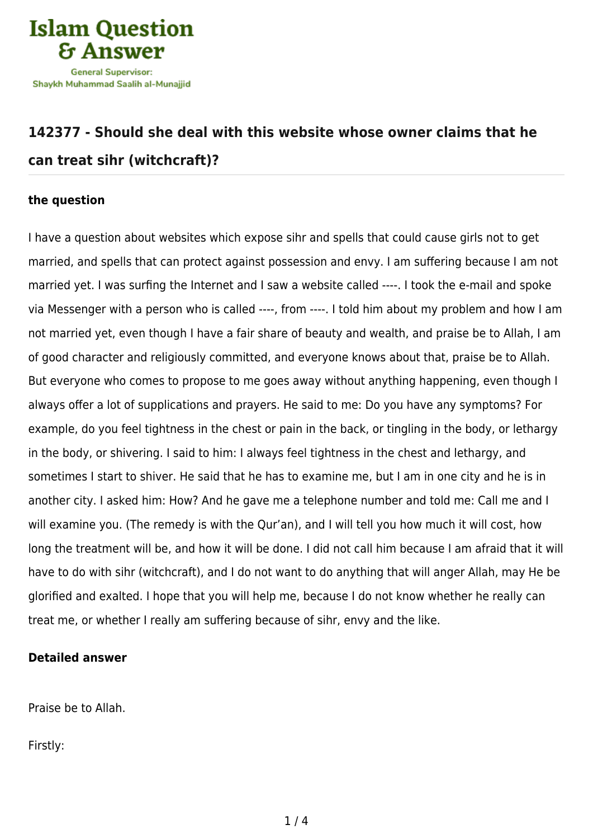

## **[142377 - Should she deal with this website whose owner claims that he](https://islamqa.com/en/answers/142377/should-she-deal-with-this-website-whose-owner-claims-that-he-can-treat-sihr-witchcraft) [can treat sihr \(witchcraft\)?](https://islamqa.com/en/answers/142377/should-she-deal-with-this-website-whose-owner-claims-that-he-can-treat-sihr-witchcraft)**

## **the question**

I have a question about websites which expose sihr and spells that could cause girls not to get married, and spells that can protect against possession and envy. I am suffering because I am not married yet. I was surfing the Internet and I saw a website called ----. I took the e-mail and spoke via Messenger with a person who is called ----, from ----. I told him about my problem and how I am not married yet, even though I have a fair share of beauty and wealth, and praise be to Allah, I am of good character and religiously committed, and everyone knows about that, praise be to Allah. But everyone who comes to propose to me goes away without anything happening, even though I always offer a lot of supplications and prayers. He said to me: Do you have any symptoms? For example, do you feel tightness in the chest or pain in the back, or tingling in the body, or lethargy in the body, or shivering. I said to him: I always feel tightness in the chest and lethargy, and sometimes I start to shiver. He said that he has to examine me, but I am in one city and he is in another city. I asked him: How? And he gave me a telephone number and told me: Call me and I will examine you. (The remedy is with the Qur'an), and I will tell you how much it will cost, how long the treatment will be, and how it will be done. I did not call him because I am afraid that it will have to do with sihr (witchcraft), and I do not want to do anything that will anger Allah, may He be glorified and exalted. I hope that you will help me, because I do not know whether he really can treat me, or whether I really am suffering because of sihr, envy and the like.

## **Detailed answer**

Praise be to Allah.

Firstly: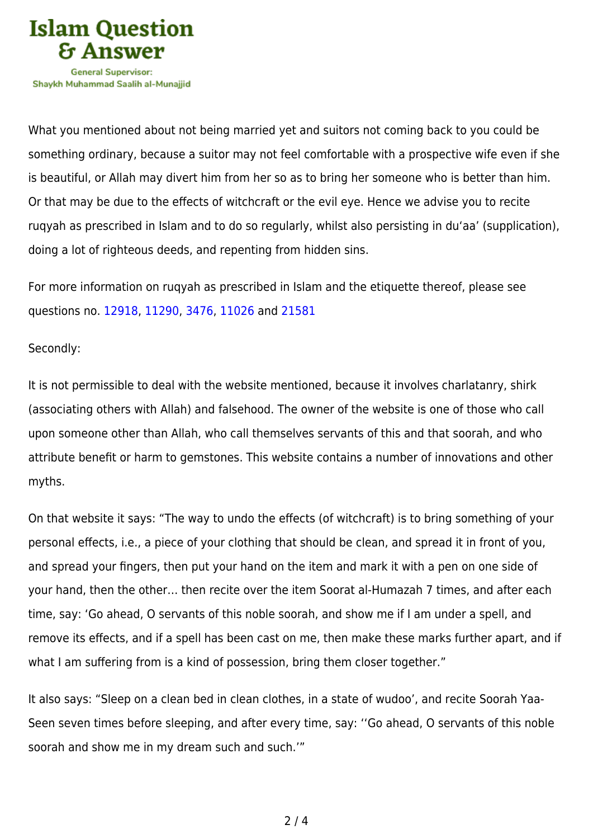

What you mentioned about not being married yet and suitors not coming back to you could be something ordinary, because a suitor may not feel comfortable with a prospective wife even if she is beautiful, or Allah may divert him from her so as to bring her someone who is better than him. Or that may be due to the effects of witchcraft or the evil eye. Hence we advise you to recite ruqyah as prescribed in Islam and to do so regularly, whilst also persisting in du'aa' (supplication), doing a lot of righteous deeds, and repenting from hidden sins.

For more information on ruqyah as prescribed in Islam and the etiquette thereof, please see questions no. [12918,](https://islamqa.com/en/answers/12918) [11290,](https://islamqa.com/en/answers/11290) [3476](https://islamqa.com/en/answers/3476), [11026](https://islamqa.com/en/answers/11026) and [21581](https://islamqa.com/en/answers/21581)

## Secondly:

It is not permissible to deal with the website mentioned, because it involves charlatanry, shirk (associating others with Allah) and falsehood. The owner of the website is one of those who call upon someone other than Allah, who call themselves servants of this and that soorah, and who attribute benefit or harm to gemstones. This website contains a number of innovations and other myths.

On that website it says: "The way to undo the effects (of witchcraft) is to bring something of your personal effects, i.e., a piece of your clothing that should be clean, and spread it in front of you, and spread your fingers, then put your hand on the item and mark it with a pen on one side of your hand, then the other… then recite over the item Soorat al-Humazah 7 times, and after each time, say: 'Go ahead, O servants of this noble soorah, and show me if I am under a spell, and remove its effects, and if a spell has been cast on me, then make these marks further apart, and if what I am suffering from is a kind of possession, bring them closer together."

It also says: "Sleep on a clean bed in clean clothes, in a state of wudoo', and recite Soorah Yaa-Seen seven times before sleeping, and after every time, say: ''Go ahead, O servants of this noble soorah and show me in my dream such and such.'"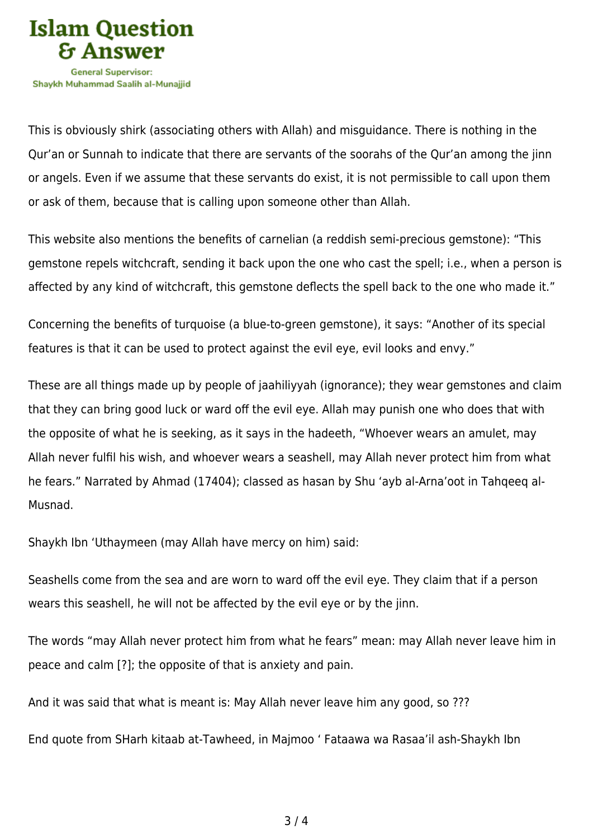

This is obviously shirk (associating others with Allah) and misguidance. There is nothing in the Qur'an or Sunnah to indicate that there are servants of the soorahs of the Qur'an among the jinn or angels. Even if we assume that these servants do exist, it is not permissible to call upon them or ask of them, because that is calling upon someone other than Allah.

This website also mentions the benefits of carnelian (a reddish semi-precious gemstone): "This gemstone repels witchcraft, sending it back upon the one who cast the spell; i.e., when a person is affected by any kind of witchcraft, this gemstone deflects the spell back to the one who made it."

Concerning the benefits of turquoise (a blue-to-green gemstone), it says: "Another of its special features is that it can be used to protect against the evil eye, evil looks and envy."

These are all things made up by people of jaahiliyyah (ignorance); they wear gemstones and claim that they can bring good luck or ward off the evil eye. Allah may punish one who does that with the opposite of what he is seeking, as it says in the hadeeth, "Whoever wears an amulet, may Allah never fulfil his wish, and whoever wears a seashell, may Allah never protect him from what he fears." Narrated by Ahmad (17404); classed as hasan by Shu 'ayb al-Arna'oot in Tahqeeq al-Musnad.

Shaykh Ibn 'Uthaymeen (may Allah have mercy on him) said:

Seashells come from the sea and are worn to ward off the evil eye. They claim that if a person wears this seashell, he will not be affected by the evil eye or by the jinn.

The words "may Allah never protect him from what he fears" mean: may Allah never leave him in peace and calm [?]; the opposite of that is anxiety and pain.

And it was said that what is meant is: May Allah never leave him any good, so ???

End quote from SHarh kitaab at-Tawheed, in Majmoo ' Fataawa wa Rasaa'il ash-Shaykh Ibn